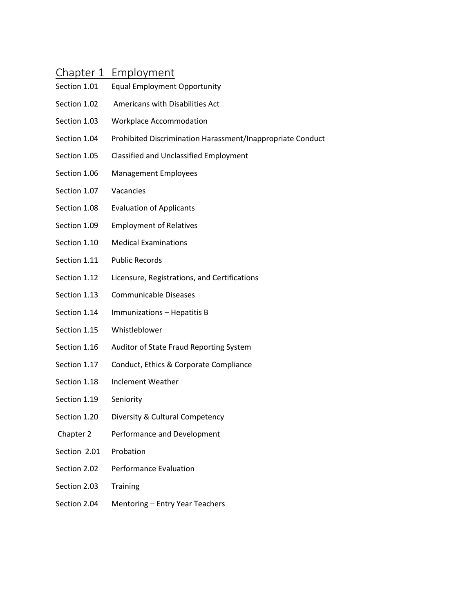# Chapter 1 Employment

- Section 1.01 Equal Employment Opportunity
- Section 1.02 Americans with Disabilities Act
- Section 1.03 Workplace Accommodation
- Section 1.04 Prohibited Discrimination Harassment/Inappropriate Conduct
- Section 1.05 Classified and Unclassified Employment
- Section 1.06 Management Employees
- Section 1.07 Vacancies
- Section 1.08 Evaluation of Applicants
- Section 1.09 Employment of Relatives
- Section 1.10 Medical Examinations
- Section 1.11 Public Records
- Section 1.12 Licensure, Registrations, and Certifications
- Section 1.13 Communicable Diseases
- Section 1.14 Immunizations Hepatitis B
- Section 1.15 Whistleblower
- Section 1.16 Auditor of State Fraud Reporting System
- Section 1.17 Conduct, Ethics & Corporate Compliance
- Section 1.18 Inclement Weather
- Section 1.19 Seniority
- Section 1.20 Diversity & Cultural Competency
- Chapter 2 Performance and Development
- Section 2.01 Probation
- Section 2.02 Performance Evaluation
- Section 2.03 Training
- Section 2.04 Mentoring Entry Year Teachers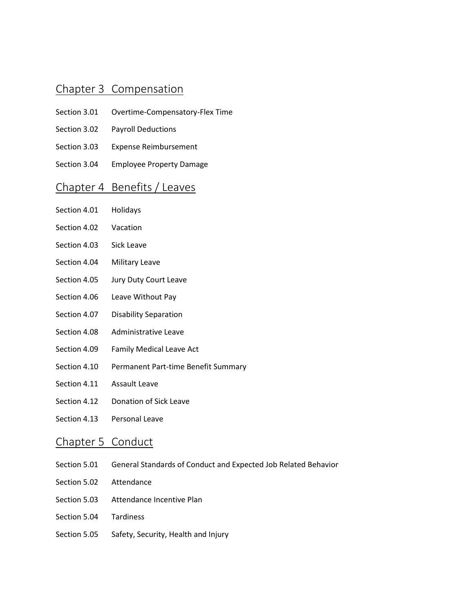#### Chapter 3 Compensation

- Section 3.01 Overtime-Compensatory-Flex Time
- Section 3.02 Payroll Deductions
- Section 3.03 Expense Reimbursement
- Section 3.04 Employee Property Damage

# Chapter 4 Benefits / Leaves

- Section 4.01 Holidays
- Section 4.02 Vacation
- Section 4.03 Sick Leave
- Section 4.04 Military Leave
- Section 4.05 Jury Duty Court Leave
- Section 4.06 Leave Without Pay
- Section 4.07 Disability Separation
- Section 4.08 Administrative Leave
- Section 4.09 Family Medical Leave Act
- Section 4.10 Permanent Part-time Benefit Summary
- Section 4.11 Assault Leave
- Section 4.12 Donation of Sick Leave
- Section 4.13 Personal Leave

### Chapter 5 Conduct

- Section 5.01 General Standards of Conduct and Expected Job Related Behavior
- Section 5.02 Attendance
- Section 5.03 Attendance Incentive Plan
- Section 5.04 Tardiness
- Section 5.05 Safety, Security, Health and Injury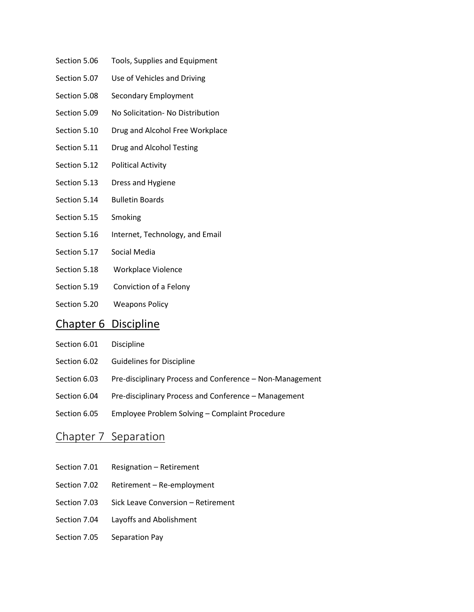- Section 5.06 Tools, Supplies and Equipment
- Section 5.07 Use of Vehicles and Driving
- Section 5.08 Secondary Employment
- Section 5.09 No Solicitation- No Distribution
- Section 5.10 Drug and Alcohol Free Workplace
- Section 5.11 Drug and Alcohol Testing
- Section 5.12 Political Activity
- Section 5.13 Dress and Hygiene
- Section 5.14 Bulletin Boards
- Section 5.15 Smoking
- Section 5.16 Internet, Technology, and Email
- Section 5.17 Social Media
- Section 5.18 Workplace Violence
- Section 5.19 Conviction of a Felony
- Section 5.20 Weapons Policy

### Chapter 6 Discipline

- Section 6.01 Discipline
- Section 6.02 Guidelines for Discipline
- Section 6.03 Pre-disciplinary Process and Conference Non-Management
- Section 6.04 Pre-disciplinary Process and Conference Management
- Section 6.05 Employee Problem Solving Complaint Procedure

#### Chapter 7 Separation

- Section 7.01 Resignation Retirement
- Section 7.02 Retirement Re-employment
- Section 7.03 Sick Leave Conversion Retirement
- Section 7.04 Layoffs and Abolishment
- Section 7.05 Separation Pay